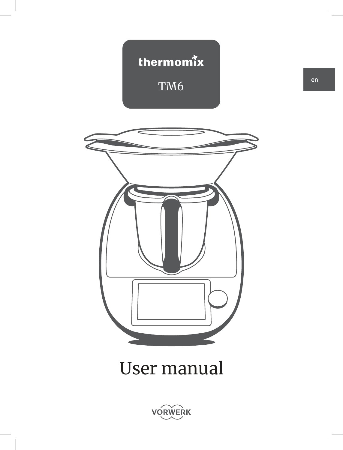



# User manual

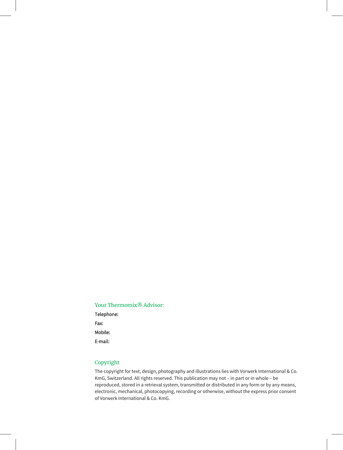#### Your Thermomix<sup>®</sup> Advisor:

Telephone: Fax: Mobile: E-mail:

#### Copyright

The copyright for text, design, photography and illustrations lies with Vorwerk International & Co. KmG, Switzerland. All rights reserved. This publication may not – in part or in whole – be reproduced, stored in a retrieval system, transmitted or distributed in any form or by any means, electronic, mechanical, photocopying, recording or otherwise, without the express prior consent of Vorwerk International & Co. KmG.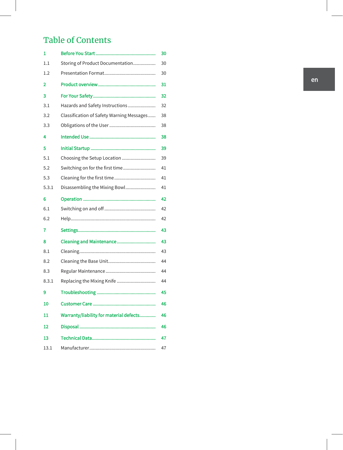# Table of Contents

| 1     |                                           | 30 |
|-------|-------------------------------------------|----|
| 1.1   | Storing of Product Documentation          | 30 |
| 1.2   |                                           | 30 |
| 2     |                                           | 31 |
| 3     |                                           | 32 |
| 3.1   | Hazards and Safety Instructions           | 32 |
| 3.2   | Classification of Safety Warning Messages | 38 |
| 3.3   |                                           | 38 |
| 4     |                                           | 38 |
| 5     |                                           | 39 |
| 5.1   | Choosing the Setup Location               | 39 |
| 5.2   | Switching on for the first time           | 41 |
| 5.3   | Cleaning for the first time               | 41 |
| 5.3.1 | Disassembling the Mixing Bowl             | 41 |
| 6     |                                           | 42 |
| 6.1   |                                           | 42 |
| 6.2   |                                           | 42 |
| 7     |                                           | 43 |
| 8     | Cleaning and Maintenance                  | 43 |
| 8.1   |                                           | 43 |
| 8.2   |                                           | 44 |
| 8.3   |                                           | 44 |
| 8.3.1 | Replacing the Mixing Knife                | 44 |
| 9     |                                           | 45 |
| 10    |                                           | 46 |
| 11    | Warranty/liability for material defects   | 46 |
| 12    |                                           | 46 |
| 13    |                                           | 47 |
| 13.1  |                                           | 47 |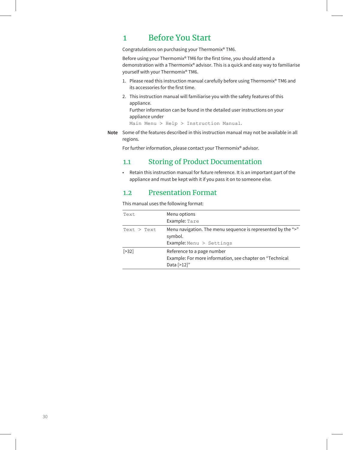### 1 Before You Start

Congratulations on purchasing your Thermomix® TM6.

Before using your Thermomix® TM6 for the first time, you should attend a demonstration with a Thermomix® advisor. This is a quick and easy way to familiarise yourself with your Thermomix® TM6.

- 1. Please read this instruction manual carefully before using Thermomix® TM6 and its accessories for the first time.
- 2. This instruction manual will familiarise you with the safety features of this appliance.

Further information can be found in the detailed user instructions on your appliance under

Main Menu > Help > Instruction Manual.

Note Some of the features described in this instruction manual may not be available in all regions.

For further information, please contact your Thermomix® advisor.

### 1.1 Storing of Product Documentation

• Retain this instruction manual for future reference. It is an important part of the appliance and must be kept with it if you pass it on to someone else.

### 1.2 Presentation Format

This manual uses the following format:

| Text        | Menu options<br>Example: Tare                                                                         |
|-------------|-------------------------------------------------------------------------------------------------------|
| Text > Text | Menu navigation. The menu sequence is represented by the ">"<br>symbol.<br>Example: Menu $>$ Settings |
| $[>32]$     | Reference to a page number<br>Example: For more information, see chapter on "Technical<br>Data [>12]" |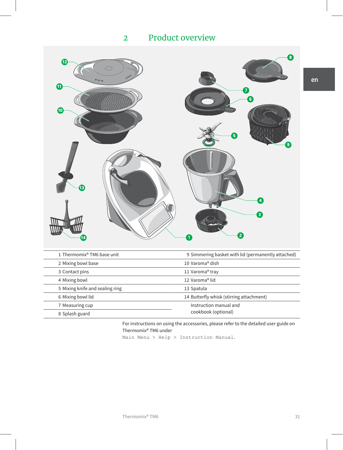# Product overview



| 1 Thermomix <sup>®</sup> TM6 base unit | 9 Simmering basket with lid (permanently attached) |
|----------------------------------------|----------------------------------------------------|
| 2 Mixing bowl base                     | 10 Varoma <sup>®</sup> dish                        |
| 3 Contact pins                         | 11 Varoma® tray                                    |
| 4 Mixing bowl                          | 12 Varoma <sup>®</sup> lid                         |
| 5 Mixing knife and sealing ring        | 13 Spatula                                         |
| 6 Mixing bowl lid                      | 14 Butterfly whisk (stirring attachment)           |
| 7 Measuring cup                        | Instruction manual and                             |
| 8 Splash guard                         | cookbook (optional)                                |

For instructions on using the accessories, please refer to the detailed user guide on Thermomix® TM6 under

Main Menu > Help > Instruction Manual.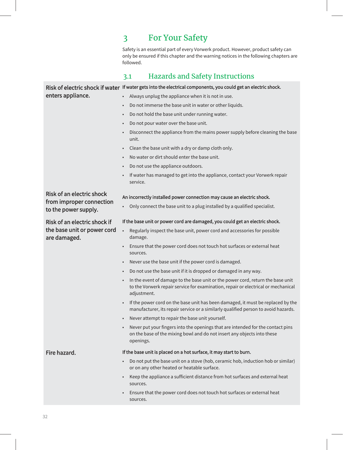# 3 For Your Safety

Safety is an essential part of every Vorwerk product. However, product safety can only be ensured if this chapter and the warning notices in the following chapters are followed.

# 3.1 Hazards and Safety Instructions

|                                                  | Risk of electric shock if water If water gets into the electrical components, you could get an electric shock.                                                                                   |  |  |
|--------------------------------------------------|--------------------------------------------------------------------------------------------------------------------------------------------------------------------------------------------------|--|--|
| enters appliance.                                | Always unplug the appliance when it is not in use.                                                                                                                                               |  |  |
|                                                  | Do not immerse the base unit in water or other liquids.                                                                                                                                          |  |  |
|                                                  | Do not hold the base unit under running water.                                                                                                                                                   |  |  |
|                                                  | Do not pour water over the base unit.<br>$\bullet$                                                                                                                                               |  |  |
|                                                  | Disconnect the appliance from the mains power supply before cleaning the base<br>unit.                                                                                                           |  |  |
|                                                  | Clean the base unit with a dry or damp cloth only.                                                                                                                                               |  |  |
|                                                  | No water or dirt should enter the base unit.                                                                                                                                                     |  |  |
|                                                  | Do not use the appliance outdoors.<br>$\bullet$                                                                                                                                                  |  |  |
|                                                  | If water has managed to get into the appliance, contact your Vorwerk repair<br>service.                                                                                                          |  |  |
| <b>Risk of an electric shock</b>                 | An incorrectly installed power connection may cause an electric shock.                                                                                                                           |  |  |
| from improper connection<br>to the power supply. | Only connect the base unit to a plug installed by a qualified specialist.<br>$\bullet$                                                                                                           |  |  |
| Risk of an electric shock if                     | If the base unit or power cord are damaged, you could get an electric shock.                                                                                                                     |  |  |
| the base unit or power cord<br>are damaged.      | Regularly inspect the base unit, power cord and accessories for possible<br>$\bullet$<br>damage.                                                                                                 |  |  |
|                                                  | Ensure that the power cord does not touch hot surfaces or external heat<br>sources.                                                                                                              |  |  |
|                                                  | Never use the base unit if the power cord is damaged.                                                                                                                                            |  |  |
|                                                  | Do not use the base unit if it is dropped or damaged in any way.<br>$\bullet$                                                                                                                    |  |  |
|                                                  | In the event of damage to the base unit or the power cord, return the base unit<br>$\bullet$<br>to the Vorwerk repair service for examination, repair or electrical or mechanical<br>adjustment. |  |  |
|                                                  | If the power cord on the base unit has been damaged, it must be replaced by the<br>manufacturer, its repair service or a similarly qualified person to avoid hazards.                            |  |  |
|                                                  | Never attempt to repair the base unit yourself.                                                                                                                                                  |  |  |
|                                                  | Never put your fingers into the openings that are intended for the contact pins<br>$\bullet$<br>on the base of the mixing bowl and do not insert any objects into these<br>openings.             |  |  |
| Fire hazard.                                     | If the base unit is placed on a hot surface, it may start to burn.                                                                                                                               |  |  |
|                                                  | Do not put the base unit on a stove (hob, ceramic hob, induction hob or similar)<br>or on any other heated or heatable surface.                                                                  |  |  |
|                                                  | Keep the appliance a sufficient distance from hot surfaces and external heat<br>sources.                                                                                                         |  |  |
|                                                  | Ensure that the power cord does not touch hot surfaces or external heat<br>sources.                                                                                                              |  |  |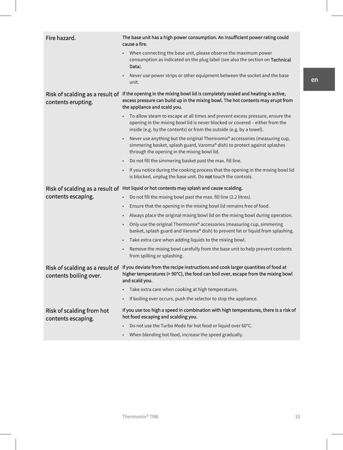| Fire hazard.                                              | The base unit has a high power consumption. An insufficient power rating could<br>cause a fire.                                                                                                                                       |
|-----------------------------------------------------------|---------------------------------------------------------------------------------------------------------------------------------------------------------------------------------------------------------------------------------------|
|                                                           | When connecting the base unit, please observe the maximum power<br>consumption as indicated on the plug label (see also the section on Technical<br>Data).                                                                            |
|                                                           | Never use power strips or other equipment between the socket and the base<br>unit.                                                                                                                                                    |
| Risk of scalding as a result of<br>contents erupting.     | If the opening in the mixing bowl lid is completely sealed and heating is active,<br>excess pressure can build up in the mixing bowl. The hot contents may erupt from<br>the appliance and scald you.                                 |
|                                                           | To allow steam to escape at all times and prevent excess pressure, ensure the<br>opening in the mixing bowl lid is never blocked or covered - either from the<br>inside (e.g. by the contents) or from the outside (e.g. by a towel). |
|                                                           | Never use anything but the original Thermomix® accessories (measuring cup,<br>simmering basket, splash guard, Varoma® dish) to protect against splashes<br>through the opening in the mixing bowl lid.                                |
|                                                           | Do not fill the simmering basket past the max. fill line.<br>$\bullet$                                                                                                                                                                |
|                                                           | If you notice during the cooking process that the opening in the mixing bowl lid<br>is blocked, unplug the base unit. Do not touch the controls.                                                                                      |
|                                                           | Risk of scalding as a result of Hot liquid or hot contents may splash and cause scalding.                                                                                                                                             |
| contents escaping.                                        | Do not fill the mixing bowl past the max. fill line (2.2 litres).<br>$\bullet$                                                                                                                                                        |
|                                                           | Ensure that the opening in the mixing bowl lid remains free of food.                                                                                                                                                                  |
|                                                           | Always place the original mixing bowl lid on the mixing bowl during operation.                                                                                                                                                        |
|                                                           | Only use the original Thermomix® accessories (measuring cup, simmering<br>$\bullet$<br>basket, splash guard and Varoma® dish) to prevent fat or liquid from splashing.                                                                |
|                                                           | Take extra care when adding liquids to the mixing bowl.                                                                                                                                                                               |
|                                                           | Remove the mixing bowl carefully from the base unit to help prevent contents<br>from spilling or splashing.                                                                                                                           |
| Risk of scalding as a result of<br>contents boiling over. | If you deviate from the recipe instructions and cook larger quantities of food at<br>higher temperatures (> 90°C), the food can boil over, escape from the mixing bowl<br>and scald you.                                              |
|                                                           | Take extra care when cooking at high temperatures.                                                                                                                                                                                    |
|                                                           | If boiling over occurs, push the selector to stop the appliance.                                                                                                                                                                      |
| <b>Risk of scalding from hot</b><br>contents escaping.    | If you use too high a speed in combination with high temperatures, there is a risk of<br>hot food escaping and scalding you.                                                                                                          |
|                                                           | Do not use the Turbo Mode for hot food or liquid over 60°C.                                                                                                                                                                           |
|                                                           | When blending hot food, increase the speed gradually.                                                                                                                                                                                 |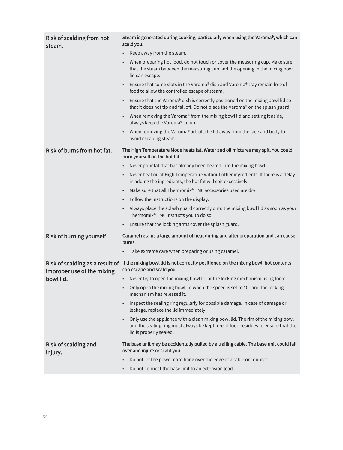| Risk of scalding from hot<br>steam.                           | Steam is generated during cooking, particularly when using the Varoma®, which can<br>scald you.                                                                                                 |
|---------------------------------------------------------------|-------------------------------------------------------------------------------------------------------------------------------------------------------------------------------------------------|
|                                                               | Keep away from the steam.                                                                                                                                                                       |
|                                                               | When preparing hot food, do not touch or cover the measuring cup. Make sure<br>that the steam between the measuring cup and the opening in the mixing bowl<br>lid can escape.                   |
|                                                               | Ensure that some slots in the Varoma® dish and Varoma® tray remain free of<br>food to allow the controlled escape of steam.                                                                     |
|                                                               | Ensure that the Varoma® dish is correctly positioned on the mixing bowl lid so<br>$\bullet$<br>that it does not tip and fall off. Do not place the Varoma® on the splash guard.                 |
|                                                               | When removing the Varoma® from the mixing bowl lid and setting it aside,<br>$\bullet$<br>always keep the Varoma® lid on.                                                                        |
|                                                               | When removing the Varoma® lid, tilt the lid away from the face and body to<br>avoid escaping steam.                                                                                             |
| Risk of burns from hot fat.                                   | The High Temperature Mode heats fat. Water and oil mixtures may spit. You could<br>burn yourself on the hot fat.                                                                                |
|                                                               | Never pour fat that has already been heated into the mixing bowl.                                                                                                                               |
|                                                               | Never heat oil at High Temperature without other ingredients. If there is a delay<br>in adding the ingredients, the hot fat will spit excessively.                                              |
|                                                               | Make sure that all Thermomix® TM6 accessories used are dry.<br>$\bullet$                                                                                                                        |
|                                                               | Follow the instructions on the display.<br>$\bullet$                                                                                                                                            |
|                                                               | Always place the splash guard correctly onto the mixing bowl lid as soon as your<br>Thermomix® TM6 instructs you to do so.                                                                      |
|                                                               | Ensure that the locking arms cover the splash guard.<br>$\bullet$                                                                                                                               |
| Risk of burning yourself.                                     | Caramel retains a large amount of heat during and after preparation and can cause<br>burns.                                                                                                     |
|                                                               | Take extreme care when preparing or using caramel.                                                                                                                                              |
| Risk of scalding as a result of<br>improper use of the mixing | If the mixing bowl lid is not correctly positioned on the mixing bowl, hot contents<br>can escape and scald you.                                                                                |
| bowl lid.                                                     | Never try to open the mixing bowl lid or the locking mechanism using force.<br>$\bullet$                                                                                                        |
|                                                               | Only open the mixing bowl lid when the speed is set to "0" and the locking<br>mechanism has released it.                                                                                        |
|                                                               | Inspect the sealing ring regularly for possible damage. In case of damage or<br>$\bullet$<br>leakage, replace the lid immediately.                                                              |
|                                                               | Only use the appliance with a clean mixing bowl lid. The rim of the mixing bowl<br>and the sealing ring must always be kept free of food residues to ensure that the<br>lid is properly sealed. |
| Risk of scalding and<br>injury.                               | The base unit may be accidentally pulled by a trailing cable. The base unit could fall<br>over and injure or scald you.                                                                         |
|                                                               | Do not let the power cord hang over the edge of a table or counter.                                                                                                                             |
|                                                               | Do not connect the base unit to an extension lead.                                                                                                                                              |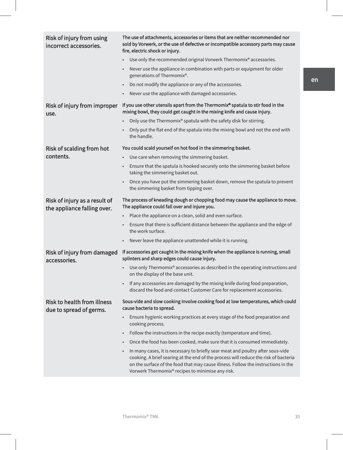| Risk of injury from using<br>incorrect accessories.           | The use of attachments, accessories or items that are neither recommended nor<br>sold by Vorwerk, or the use of defective or incompatible accessory parts may cause<br>fire, electric shock or injury.                                                                                                          |
|---------------------------------------------------------------|-----------------------------------------------------------------------------------------------------------------------------------------------------------------------------------------------------------------------------------------------------------------------------------------------------------------|
|                                                               | Use only the recommended original Vorwerk Thermomix® accessories.                                                                                                                                                                                                                                               |
|                                                               | Never use the appliance in combination with parts or equipment for older<br>generations of Thermomix®.                                                                                                                                                                                                          |
|                                                               | Do not modify the appliance or any of the accessories.<br>$\bullet$                                                                                                                                                                                                                                             |
|                                                               | Never use the appliance with damaged accessories.<br>$\bullet$                                                                                                                                                                                                                                                  |
| Risk of injury from improper<br>use.                          | If you use other utensils apart from the Thermomix® spatula to stir food in the<br>mixing bowl, they could get caught in the mixing knife and cause injury.                                                                                                                                                     |
|                                                               | Only use the Thermomix® spatula with the safety disk for stirring.<br>$\bullet$                                                                                                                                                                                                                                 |
|                                                               | Only put the flat end of the spatula into the mixing bowl and not the end with<br>the handle.                                                                                                                                                                                                                   |
| Risk of scalding from hot                                     | You could scald yourself on hot food in the simmering basket.                                                                                                                                                                                                                                                   |
| contents.                                                     | Use care when removing the simmering basket.                                                                                                                                                                                                                                                                    |
|                                                               | Ensure that the spatula is hooked securely onto the simmering basket before<br>taking the simmering basket out.                                                                                                                                                                                                 |
|                                                               | Once you have put the simmering basket down, remove the spatula to prevent<br>the simmering basket from tipping over.                                                                                                                                                                                           |
| Risk of injury as a result of<br>the appliance falling over.  | The process of kneading dough or chopping food may cause the appliance to move.<br>The appliance could fall over and injure you.                                                                                                                                                                                |
|                                                               | Place the appliance on a clean, solid and even surface.                                                                                                                                                                                                                                                         |
|                                                               | Ensure that there is sufficient distance between the appliance and the edge of<br>the work surface.                                                                                                                                                                                                             |
|                                                               | Never leave the appliance unattended while it is running.<br>$\bullet$                                                                                                                                                                                                                                          |
| Risk of injury from damaged<br>accessories.                   | If accessories get caught in the mixing knife when the appliance is running, small<br>splinters and sharp edges could cause injury.                                                                                                                                                                             |
|                                                               | Use only Thermomix® accessories as described in the operating instructions and<br>on the display of the base unit.                                                                                                                                                                                              |
|                                                               | If any accessories are damaged by the mixing knife during food preparation,<br>discard the food and contact Customer Care for replacement accessories.                                                                                                                                                          |
| <b>Risk to health from illness</b><br>due to spread of germs. | Sous-vide and slow cooking involve cooking food at low temperatures, which could<br>cause bacteria to spread.                                                                                                                                                                                                   |
|                                                               | Ensure hygienic working practices at every stage of the food preparation and<br>$\bullet$<br>cooking process.                                                                                                                                                                                                   |
|                                                               | Follow the instructions in the recipe exactly (temperature and time).<br>$\bullet$                                                                                                                                                                                                                              |
|                                                               | Once the food has been cooked, make sure that it is consumed immediately.                                                                                                                                                                                                                                       |
|                                                               | In many cases, it is necessary to briefly sear meat and poultry after sous-vide<br>cooking. A brief searing at the end of the process will reduce the risk of bacteria<br>on the surface of the food that may cause illness. Follow the instructions in the<br>Vorwerk Thermomix® recipes to minimise any risk. |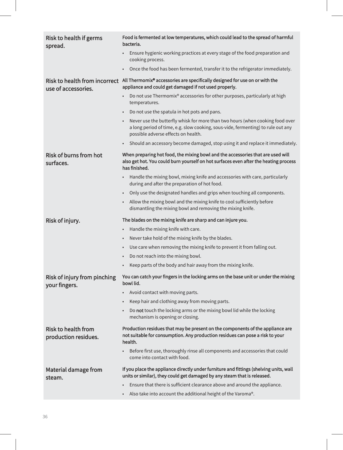| <b>Risk to health if germs</b><br>spread.            | Food is fermented at low temperatures, which could lead to the spread of harmful<br>bacteria.                                                                                                                         |
|------------------------------------------------------|-----------------------------------------------------------------------------------------------------------------------------------------------------------------------------------------------------------------------|
|                                                      | Ensure hygienic working practices at every stage of the food preparation and<br>cooking process.                                                                                                                      |
|                                                      | Once the food has been fermented, transfer it to the refrigerator immediately.                                                                                                                                        |
| Risk to health from incorrect<br>use of accessories. | All Thermomix® accessories are specifically designed for use on or with the<br>appliance and could get damaged if not used properly.                                                                                  |
|                                                      | Do not use Thermomix® accessories for other purposes, particularly at high<br>temperatures.                                                                                                                           |
|                                                      | Do not use the spatula in hot pots and pans.<br>$\bullet$                                                                                                                                                             |
|                                                      | Never use the butterfly whisk for more than two hours (when cooking food over<br>$\bullet$<br>a long period of time, e.g. slow cooking, sous-vide, fermenting) to rule out any<br>possible adverse effects on health. |
|                                                      | Should an accessory become damaged, stop using it and replace it immediately.                                                                                                                                         |
| <b>Risk of burns from hot</b><br>surfaces.           | When preparing hot food, the mixing bowl and the accessories that are used will<br>also get hot. You could burn yourself on hot surfaces even after the heating process<br>has finished.                              |
|                                                      | Handle the mixing bowl, mixing knife and accessories with care, particularly<br>during and after the preparation of hot food.                                                                                         |
|                                                      | Only use the designated handles and grips when touching all components.<br>٠                                                                                                                                          |
|                                                      | Allow the mixing bowl and the mixing knife to cool sufficiently before<br>$\bullet$<br>dismantling the mixing bowl and removing the mixing knife.                                                                     |
| Risk of injury.                                      | The blades on the mixing knife are sharp and can injure you.                                                                                                                                                          |
|                                                      | Handle the mixing knife with care.<br>$\bullet$                                                                                                                                                                       |
|                                                      | Never take hold of the mixing knife by the blades.                                                                                                                                                                    |
|                                                      | Use care when removing the mixing knife to prevent it from falling out.<br>٠                                                                                                                                          |
|                                                      | Do not reach into the mixing bowl.<br>٠                                                                                                                                                                               |
|                                                      |                                                                                                                                                                                                                       |
|                                                      | Keep parts of the body and hair away from the mixing knife.<br>$\bullet$                                                                                                                                              |
| Risk of injury from pinching                         | You can catch your fingers in the locking arms on the base unit or under the mixing<br>bowl lid.                                                                                                                      |
| your fingers.                                        | Avoid contact with moving parts.                                                                                                                                                                                      |
|                                                      | Keep hair and clothing away from moving parts.                                                                                                                                                                        |
|                                                      | Do not touch the locking arms or the mixing bowl lid while the locking<br>mechanism is opening or closing.                                                                                                            |
| <b>Risk to health from</b><br>production residues.   | Production residues that may be present on the components of the appliance are<br>not suitable for consumption. Any production residues can pose a risk to your<br>health.                                            |
|                                                      | Before first use, thoroughly rinse all components and accessories that could<br>come into contact with food.                                                                                                          |
| Material damage from                                 | If you place the appliance directly under furniture and fittings (shelving units, wall<br>units or similar), they could get damaged by any steam that is released.                                                    |
| steam.                                               | Ensure that there is sufficient clearance above and around the appliance.                                                                                                                                             |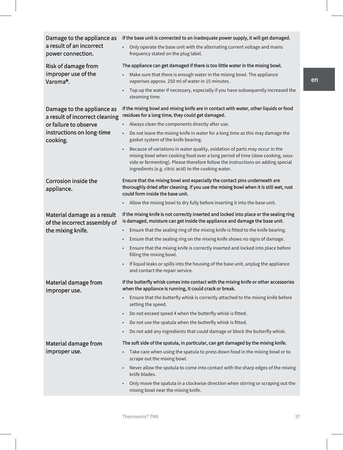| Damage to the appliance as<br>a result of an incorrect<br>power connection. | If the base unit is connected to an inadequate power supply, it will get damaged.<br>Only operate the base unit with the alternating current voltage and mains<br>frequency stated on the plug label.                                                                                                                |
|-----------------------------------------------------------------------------|----------------------------------------------------------------------------------------------------------------------------------------------------------------------------------------------------------------------------------------------------------------------------------------------------------------------|
| <b>Risk of damage from</b>                                                  | The appliance can get damaged if there is too little water in the mixing bowl.                                                                                                                                                                                                                                       |
| improper use of the<br>Varoma <sup>®</sup> .                                | Make sure that there is enough water in the mixing bowl. The appliance<br>vaporises approx. 250 ml of water in 15 minutes.                                                                                                                                                                                           |
|                                                                             | Top up the water if necessary, especially if you have subsequently increased the<br>steaming time.                                                                                                                                                                                                                   |
| Damage to the appliance as<br>a result of incorrect cleaning                | If the mixing bowl and mixing knife are in contact with water, other liquids or food<br>residues for a long time, they could get damaged.                                                                                                                                                                            |
| or failure to observe                                                       | Always clean the components directly after use.                                                                                                                                                                                                                                                                      |
| instructions on long-time<br>cooking.                                       | Do not leave the mixing knife in water for a long time as this may damage the<br>$\bullet$<br>gasket system of the knife bearing.                                                                                                                                                                                    |
|                                                                             | Because of variations in water quality, oxidation of parts may occur in the<br>$\bullet$<br>mixing bowl when cooking food over a long period of time (slow cooking, sous-<br>vide or fermenting). Please therefore follow the instructions on adding special<br>ingredients (e.g. citric acid) to the cooking water. |
| <b>Corrosion inside the</b><br>appliance.                                   | Ensure that the mixing bowl and especially the contact pins underneath are<br>thoroughly dried after cleaning. If you use the mixing bowl when it is still wet, rust<br>could form inside the base unit.                                                                                                             |
|                                                                             | Allow the mixing bowl to dry fully before inserting it into the base unit.                                                                                                                                                                                                                                           |
| Material damage as a result                                                 | If the mixing knife is not correctly inserted and locked into place or the sealing ring                                                                                                                                                                                                                              |
|                                                                             | is damaged, moisture can get inside the appliance and damage the base unit.                                                                                                                                                                                                                                          |
| of the incorrect assembly of<br>the mixing knife.                           | Ensure that the sealing ring of the mixing knife is fitted to the knife bearing.                                                                                                                                                                                                                                     |
|                                                                             | Ensure that the sealing ring on the mixing knife shows no signs of damage.<br>$\bullet$                                                                                                                                                                                                                              |
|                                                                             | Ensure that the mixing knife is correctly inserted and locked into place before<br>filling the mixing bowl.                                                                                                                                                                                                          |
|                                                                             | If liquid leaks or spills into the housing of the base unit, unplug the appliance<br>$\bullet$<br>and contact the repair service.                                                                                                                                                                                    |
| Material damage from                                                        | If the butterfly whisk comes into contact with the mixing knife or other accessories<br>when the appliance is running, it could crack or break.                                                                                                                                                                      |
| improper use.                                                               | Ensure that the butterfly whisk is correctly attached to the mixing knife before<br>setting the speed.                                                                                                                                                                                                               |
|                                                                             | Do not exceed speed 4 when the butterfly whisk is fitted.<br>$\bullet$                                                                                                                                                                                                                                               |
|                                                                             | Do not use the spatula when the butterfly whisk is fitted.<br>$\bullet$                                                                                                                                                                                                                                              |
|                                                                             | Do not add any ingredients that could damage or block the butterfly whisk.<br>$\bullet$                                                                                                                                                                                                                              |
| Material damage from                                                        | The soft side of the spatula, in particular, can get damaged by the mixing knife.                                                                                                                                                                                                                                    |
| improper use.                                                               | Take care when using the spatula to press down food in the mixing bowl or to<br>$\bullet$<br>scrape out the mixing bowl.                                                                                                                                                                                             |
|                                                                             | Never allow the spatula to come into contact with the sharp edges of the mixing<br>knife blades.                                                                                                                                                                                                                     |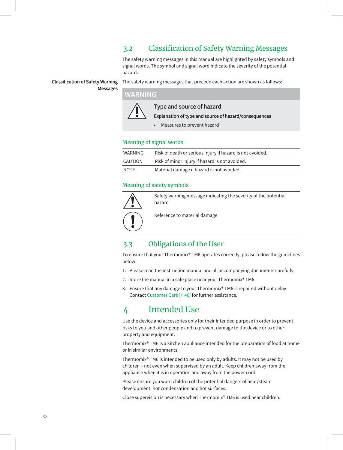### 3.2 Classification of Safety Warning Messages

The safety warning messages in this manual are highlighted by safety symbols and signal words. The symbol and signal word indicate the severity of the potential hazard.

#### Classification of Safety Warning Messages

The safety warning messages that precede each action are shown as follows:

### ARNING



Type and source of hazard

Explanation of type and source of hazard/consequences

• Measures to prevent hazard

#### Meaning of signal words

| WARNING | Risk of death or serious injury if hazard is not avoided. |
|---------|-----------------------------------------------------------|
| CAUTION | Risk of minor injury if hazard is not avoided.            |
| NOTE    | Material damage if hazard is not avoided.                 |

#### Meaning of safety symbols

| Safety warning message indicating the severity of the potential<br>hazard |
|---------------------------------------------------------------------------|
| Reference to material damage                                              |

### 3.3 Obligations of the User

To ensure that your Thermomix® TM6 operates correctly, please follow the guidelines below:

- 1. Please read the instruction manual and all accompanying documents carefully.
- 2. Store the manual in a safe place near your Thermomix® TM6.
- 3. Ensure that any damage to your Thermomix® TM6 is repaired without delay. Contact Customer Care [} 46] for further assistance.

### 4 Intended Use

Use the device and accessories only for their intended purpose in order to prevent risks to you and other people and to prevent damage to the device or to other property and equipment.

Thermomix® TM6 is a kitchen appliance intended for the preparation of food at home or in similar environments.

Thermomix® TM6 is intended to be used only by adults. It may not be used by children – not even when supervised by an adult. Keep children away from the appliance when it is in operation and away from the power cord.

Please ensure you warn children of the potential dangers of heat/steam development, hot condensation and hot surfaces.

Close supervision is necessary when Thermomix® TM6 is used near children.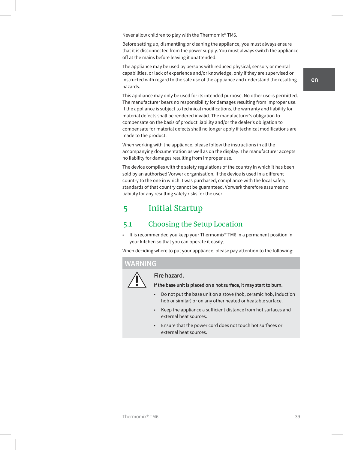Never allow children to play with the Thermomix® TM6.

Before setting up, dismantling or cleaning the appliance, you must always ensure that it is disconnected from the power supply. You must always switch the appliance off at the mains before leaving it unattended.

The appliance may be used by persons with reduced physical, sensory or mental capabilities, or lack of experience and/or knowledge, only if they are supervised or instructed with regard to the safe use of the appliance and understand the resulting hazards.

This appliance may only be used for its intended purpose. No other use is permitted. The manufacturer bears no responsibility for damages resulting from improper use. If the appliance is subject to technical modifications, the warranty and liability for material defects shall be rendered invalid. The manufacturer's obligation to compensate on the basis of product liability and/or the dealer's obligation to compensate for material defects shall no longer apply if technical modifications are made to the product.

When working with the appliance, please follow the instructions in all the accompanying documentation as well as on the display. The manufacturer accepts no liability for damages resulting from improper use.

The device complies with the safety regulations of the country in which it has been sold by an authorised Vorwerk organisation. If the device is used in a different country to the one in which it was purchased, compliance with the local safety standards of that country cannot be guaranteed. Vorwerk therefore assumes no liability for any resulting safety risks for the user.

### 5 Initial Startup

### 5.1 Choosing the Setup Location

• It is recommended you keep your Thermomix® TM6 in a permanent position in your kitchen so that you can operate it easily.

When deciding where to put your appliance, please pay attention to the following:

#### ARNING



### Fire hazard.

#### If the base unit is placed on a hot surface, it may start to burn.

- Do not put the base unit on a stove (hob, ceramic hob, induction hob or similar) or on any other heated or heatable surface.
- Keep the appliance a sufficient distance from hot surfaces and external heat sources.
- Ensure that the power cord does not touch hot surfaces or external heat sources.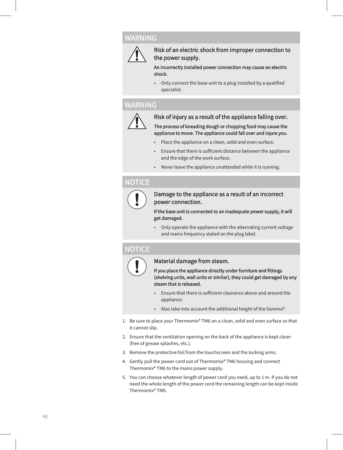### WARNING



Risk of an electric shock from improper connection to the power supply.

An incorrectly installed power connection may cause an electric shock.

• Only connect the base unit to a plug installed by a qualified specialist.

### WARNING



#### Risk of injury as a result of the appliance falling over.

The process of kneading dough or chopping food may cause the appliance to move. The appliance could fall over and injure you.

- Place the appliance on a clean, solid and even surface.
- Ensure that there is sufficient distance between the appliance and the edge of the work surface.
- Never leave the appliance unattended while it is running.

### **NOTICE**



#### Damage to the appliance as a result of an incorrect power connection.

If the base unit is connected to an inadequate power supply, it will get damaged.

• Only operate the appliance with the alternating current voltage and mains frequency stated on the plug label.

### **IOTICE**



#### Material damage from steam.

If you place the appliance directly under furniture and fittings (shelving units, wall units or similar), they could get damaged by any steam that is released.

- Ensure that there is sufficient clearance above and around the appliance.
- Also take into account the additional height of the Varoma®.
- 1. Be sure to place your Thermomix® TM6 on a clean, solid and even surface so that it cannot slip.
- 2. Ensure that the ventilation opening on the back of the appliance is kept clean (free of grease splashes, etc.).
- 3. Remove the protective foil from the touchscreen and the locking arms.
- 4. Gently pull the power cord out of Thermomix® TM6 housing and connect Thermomix® TM6 to the mains power supply.
- 5. You can choose whatever length of power cord you need, up to 1 m. If you do not need the whole length of the power cord the remaining length can be kept inside Thermomix® TM6.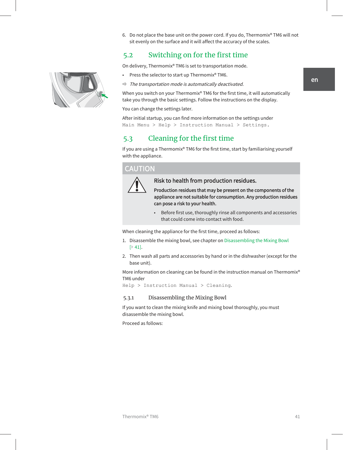6. Do not place the base unit on the power cord. If you do, Thermomix® TM6 will not sit evenly on the surface and it will affect the accuracy of the scales.

### 5.2 Switching on for the first time

On delivery, Thermomix® TM6 is set to transportation mode.

- Press the selector to start up Thermomix® TM6.
- $\Rightarrow$  The transportation mode is automatically deactivated.

When you switch on your Thermomix® TM6 for the first time, it will automatically take you through the basic settings. Follow the instructions on the display.

You can change the settings later.

After initial startup, you can find more information on the settings under Main Menu > Help > Instruction Manual > Settings.

### 5.3 Cleaning for the first time

If you are using a Thermomix® TM6 for the first time, start by familiarising yourself with the appliance.

#### **CAUTION**



Risk to health from production residues.

Production residues that may be present on the components of the appliance are not suitable for consumption. Any production residues can pose a risk to your health.

• Before first use, thoroughly rinse all components and accessories that could come into contact with food.

When cleaning the appliance for the first time, proceed as follows:

- 1. Disassemble the mixing bowl, see chapter on Disassembling the Mixing Bowl [} 41].
- 2. Then wash all parts and accessories by hand or in the dishwasher (except for the base unit).

More information on cleaning can be found in the instruction manual on Thermomix® TM6 under

Help > Instruction Manual > Cleaning.

#### 5.3.1 Disassembling the Mixing Bowl

If you want to clean the mixing knife and mixing bowl thoroughly, you must disassemble the mixing bowl.

Proceed as follows:

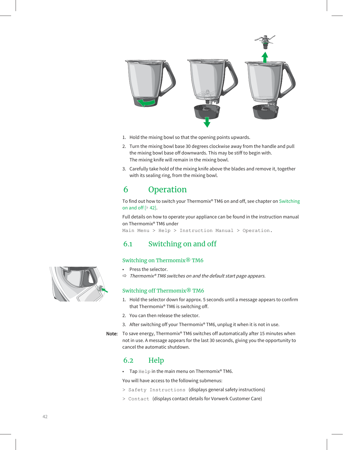

- 1. Hold the mixing bowl so that the opening points upwards.
- 2. Turn the mixing bowl base 30 degrees clockwise away from the handle and pull the mixing bowl base off downwards. This may be stiff to begin with. The mixing knife will remain in the mixing bowl.
- 3. Carefully take hold of the mixing knife above the blades and remove it, together with its sealing ring, from the mixing bowl.

### 6 Operation

To find out how to switch your Thermomix® TM6 on and off, see chapter on Switching on and off [} 42].

Full details on how to operate your appliance can be found in the instruction manual on Thermomix® TM6 under

Main Menu > Help > Instruction Manual > Operation.

### 6.1 Switching on and off

#### Switching on Thermomix® TM6

- Press the selector.
- Thermomix® TM6 switches on and the default start page appears.

#### Switching off Thermomix® TM6

- 1. Hold the selector down for approx. 5 seconds until a message appears to confirm that Thermomix® TM6 is switching off.
- 2. You can then release the selector.
- 3. After switching off your Thermomix® TM6, unplug it when it is not in use.

Note: To save energy, Thermomix® TM6 switches off automatically after 15 minutes when not in use. A message appears for the last 30 seconds, giving you the opportunity to cancel the automatic shutdown.

### 6.2 Help

• Tap Help in the main menu on Thermomix® TM6.

You will have access to the following submenus:

- > Safety Instructions (displays general safety instructions)
- > Contact (displays contact details for Vorwerk Customer Care)

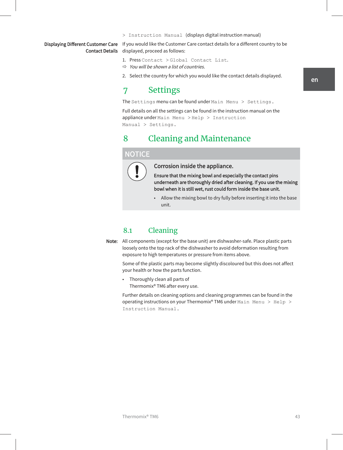> Instruction Manual (displays digital instruction manual)

# Contact Details

Displaying Different Customer Care If you would like the Customer Care contact details for a different country to be displayed, proceed as follows:

- 1. Press Contact > Global Contact List.
- $\Rightarrow$  You will be shown a list of countries.
- 2. Select the country for which you would like the contact details displayed.

### 7 Settings

The Settings menu can be found under Main Menu > Settings.

Full details on all the settings can be found in the instruction manual on the appliance under Main Menu > Help > Instruction Manual > Settings.

### 8 Cleaning and Maintenance

#### NOTICE



#### Corrosion inside the appliance.

Ensure that the mixing bowl and especially the contact pins underneath are thoroughly dried after cleaning. If you use the mixing bowl when it is still wet, rust could form inside the base unit.

• Allow the mixing bowl to dry fully before inserting it into the base unit.

### 8.1 Cleaning

Note: All components (except for the base unit) are dishwasher-safe. Place plastic parts loosely onto the top rack of the dishwasher to avoid deformation resulting from exposure to high temperatures or pressure from items above.

Some of the plastic parts may become slightly discoloured but this does not affect your health or how the parts function.

• Thoroughly clean all parts of Thermomix® TM6 after every use.

Further details on cleaning options and cleaning programmes can be found in the operating instructions on your Thermomix® TM6 under Main Menu > Help > Instruction Manual.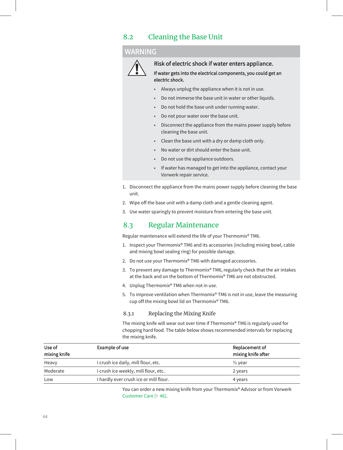### 8.2 Cleaning the Base Unit

#### WARNING



#### Risk of electric shock if water enters appliance.

If water gets into the electrical components, you could get an electric shock.

- Always unplug the appliance when it is not in use.
- Do not immerse the base unit in water or other liquids.
- Do not hold the base unit under running water.
- Do not pour water over the base unit.
- Disconnect the appliance from the mains power supply before cleaning the base unit.
- Clean the base unit with a dry or damp cloth only.
- No water or dirt should enter the base unit.
- Do not use the appliance outdoors.
- If water has managed to get into the appliance, contact your Vorwerk repair service.
- 1. Disconnect the appliance from the mains power supply before cleaning the base unit.
- 2. Wipe off the base unit with a damp cloth and a gentle cleaning agent.
- 3. Use water sparingly to prevent moisture from entering the base unit.

### 8.3 Regular Maintenance

Regular maintenance will extend the life of your Thermomix® TM6.

- 1. Inspect your Thermomix® TM6 and its accessories (including mixing bowl, cable and mixing bowl sealing ring) for possible damage.
- 2. Do not use your Thermomix® TM6 with damaged accessories.
- 3. To prevent any damage to Thermomix® TM6, regularly check that the air intakes at the back and on the bottom of Thermomix® TM6 are not obstructed.
- 4. Unplug Thermomix® TM6 when not in use.
- 5. To improve ventilation when Thermomix® TM6 is not in use, leave the measuring cup off the mixing bowl lid on Thermomix® TM6.

#### 8.3.1 Replacing the Mixing Knife

The mixing knife will wear out over time if Thermomix® TM6 is regularly used for chopping hard food. The table below shows recommended intervals for replacing the mixing knife.

| Use of<br>mixing knife | Example of use                         | Replacement of<br>mixing knife after |
|------------------------|----------------------------------------|--------------------------------------|
| Heavy                  | I crush ice daily, mill flour, etc.    | $\frac{1}{2}$ year                   |
| Moderate               | I crush ice weekly, mill flour, etc.   | 2 years                              |
| Low                    | I hardly ever crush ice or mill flour. | 4 years                              |

You can order a new mixing knife from your Thermomix® Advisor or from Vorwerk Customer Care [} 46].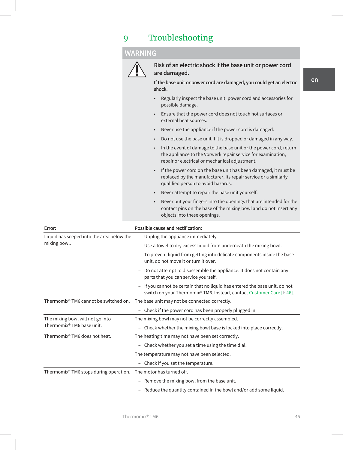# 9 Troubleshooting

### WARNING



Risk of an electric shock if the base unit or power cord are damaged.

If the base unit or power cord are damaged, you could get an electric shock.

- Regularly inspect the base unit, power cord and accessories for possible damage.
- Ensure that the power cord does not touch hot surfaces or external heat sources.
- Never use the appliance if the power cord is damaged.
- Do not use the base unit if it is dropped or damaged in any way.
- In the event of damage to the base unit or the power cord, return the appliance to the Vorwerk repair service for examination, repair or electrical or mechanical adjustment.
- If the power cord on the base unit has been damaged, it must be replaced by the manufacturer, its repair service or a similarly qualified person to avoid hazards.
- Never attempt to repair the base unit yourself.
- Never put your fingers into the openings that are intended for the contact pins on the base of the mixing bowl and do not insert any objects into these openings.

| Error:                                                                    | Possible cause and rectification:                                                                                                                 |  |  |  |
|---------------------------------------------------------------------------|---------------------------------------------------------------------------------------------------------------------------------------------------|--|--|--|
| Liquid has seeped into the area below the<br>mixing bowl.                 | - Unplug the appliance immediately.                                                                                                               |  |  |  |
|                                                                           | - Use a towel to dry excess liquid from underneath the mixing bowl.                                                                               |  |  |  |
|                                                                           | To prevent liquid from getting into delicate components inside the base<br>unit, do not move it or turn it over.                                  |  |  |  |
|                                                                           | Do not attempt to disassemble the appliance. It does not contain any<br>parts that you can service yourself.                                      |  |  |  |
|                                                                           | If you cannot be certain that no liquid has entered the base unit, do not<br>switch on your Thermomix® TM6. Instead, contact Customer Care [ 46]. |  |  |  |
| Thermomix <sup>®</sup> TM6 cannot be switched on.                         | The base unit may not be connected correctly.                                                                                                     |  |  |  |
|                                                                           | Check if the power cord has been properly plugged in.                                                                                             |  |  |  |
| The mixing bowl will not go into<br>Thermomix <sup>®</sup> TM6 base unit. | The mixing bowl may not be correctly assembled.                                                                                                   |  |  |  |
|                                                                           | Check whether the mixing bowl base is locked into place correctly.                                                                                |  |  |  |
| Thermomix® TM6 does not heat.                                             | The heating time may not have been set correctly.                                                                                                 |  |  |  |
|                                                                           | Check whether you set a time using the time dial.<br>$-$                                                                                          |  |  |  |
|                                                                           | The temperature may not have been selected.                                                                                                       |  |  |  |
|                                                                           | - Check if you set the temperature.                                                                                                               |  |  |  |
| Thermomix <sup>®</sup> TM6 stops during operation.                        | The motor has turned off.                                                                                                                         |  |  |  |
|                                                                           | Remove the mixing bowl from the base unit.<br>$\overline{\phantom{0}}$                                                                            |  |  |  |
|                                                                           | - Reduce the quantity contained in the bowl and/or add some liquid.                                                                               |  |  |  |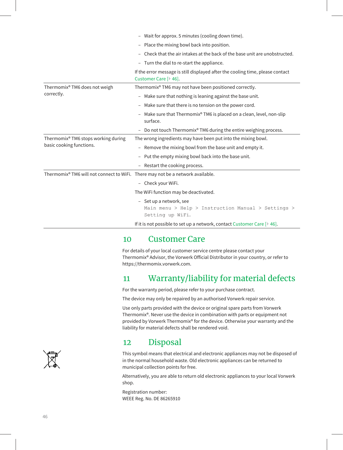|                                                                                 | - Wait for approx. 5 minutes (cooling down time).<br>Place the mixing bowl back into position.<br>$\overline{\phantom{0}}$<br>Check that the air intakes at the back of the base unit are unobstructed.<br>- Turn the dial to re-start the appliance.<br>If the error message is still displayed after the cooling time, please contact<br>Customer Care [ 46]. |  |  |                                             |                                                        |  |
|---------------------------------------------------------------------------------|-----------------------------------------------------------------------------------------------------------------------------------------------------------------------------------------------------------------------------------------------------------------------------------------------------------------------------------------------------------------|--|--|---------------------------------------------|--------------------------------------------------------|--|
|                                                                                 |                                                                                                                                                                                                                                                                                                                                                                 |  |  |                                             |                                                        |  |
|                                                                                 |                                                                                                                                                                                                                                                                                                                                                                 |  |  |                                             |                                                        |  |
|                                                                                 |                                                                                                                                                                                                                                                                                                                                                                 |  |  | Thermomix® TM6 does not weigh<br>correctly. | Thermomix® TM6 may not have been positioned correctly. |  |
| - Make sure that nothing is leaning against the base unit.                      |                                                                                                                                                                                                                                                                                                                                                                 |  |  |                                             |                                                        |  |
| Make sure that there is no tension on the power cord.<br>-                      |                                                                                                                                                                                                                                                                                                                                                                 |  |  |                                             |                                                        |  |
| Make sure that Thermomix® TM6 is placed on a clean, level, non-slip<br>surface. |                                                                                                                                                                                                                                                                                                                                                                 |  |  |                                             |                                                        |  |
| Do not touch Thermomix <sup>®</sup> TM6 during the entire weighing process.     |                                                                                                                                                                                                                                                                                                                                                                 |  |  |                                             |                                                        |  |
| Thermomix <sup>®</sup> TM6 stops working during<br>basic cooking functions.     | The wrong ingredients may have been put into the mixing bowl.                                                                                                                                                                                                                                                                                                   |  |  |                                             |                                                        |  |
|                                                                                 | Remove the mixing bowl from the base unit and empty it.<br>$\overline{\phantom{0}}$                                                                                                                                                                                                                                                                             |  |  |                                             |                                                        |  |
|                                                                                 | Put the empty mixing bowl back into the base unit.<br>$\overline{\phantom{0}}$                                                                                                                                                                                                                                                                                  |  |  |                                             |                                                        |  |
|                                                                                 | - Restart the cooking process.                                                                                                                                                                                                                                                                                                                                  |  |  |                                             |                                                        |  |
| Thermomix® TM6 will not connect to WiFi. There may not be a network available.  |                                                                                                                                                                                                                                                                                                                                                                 |  |  |                                             |                                                        |  |
|                                                                                 | - Check your WiFi.                                                                                                                                                                                                                                                                                                                                              |  |  |                                             |                                                        |  |
|                                                                                 | The WiFi function may be deactivated.                                                                                                                                                                                                                                                                                                                           |  |  |                                             |                                                        |  |
|                                                                                 | - Set up a network, see<br>Main menu > Help > Instruction Manual > Settings ><br>Setting up WiFi.                                                                                                                                                                                                                                                               |  |  |                                             |                                                        |  |
|                                                                                 | If it is not possible to set up a network, contact Customer Care $[$ 46].                                                                                                                                                                                                                                                                                       |  |  |                                             |                                                        |  |

### 10 Customer Care

For details of your local customer service centre please contact your Thermomix® Advisor, the Vorwerk Official Distributor in your country, or refer to https://thermomix.vorwerk.com.

## 11 Warranty/liability for material defects

For the warranty period, please refer to your purchase contract.

The device may only be repaired by an authorised Vorwerk repair service.

Use only parts provided with the device or original spare parts from Vorwerk Thermomix®. Never use the device in combination with parts or equipment not provided by Vorwerk Thermomix® for the device. Otherwise your warranty and the liability for material defects shall be rendered void.



### 12 Disposal

This symbol means that electrical and electronic appliances may not be disposed of in the normal household waste. Old electronic appliances can be returned to municipal collection points for free.

Alternatively, you are able to return old electronic appliances to your local Vorwerk shop.

Registration number: WEEE Reg. No. DE 86265910